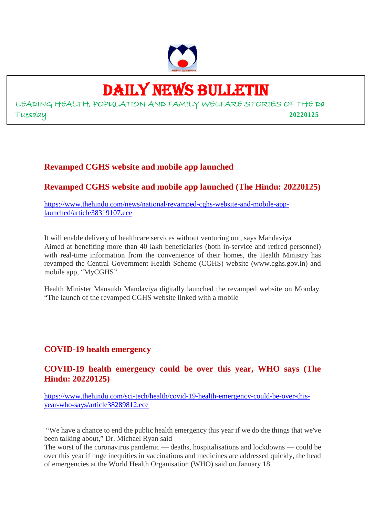

## DAILY NEWS BULLETIN

LEADING HEALTH, POPULATION AND FAMILY WELFARE STORIES OF THE Da Tuesday **20220125**

#### **Revamped CGHS website and mobile app launched**

#### **Revamped CGHS website and mobile app launched (The Hindu: 20220125)**

https://www.thehindu.com/news/national/revamped-cghs-website-and-mobile-applaunched/article38319107.ece

It will enable delivery of healthcare services without venturing out, says Mandaviya Aimed at benefiting more than 40 lakh beneficiaries (both in-service and retired personnel) with real-time information from the convenience of their homes, the Health Ministry has revamped the Central Government Health Scheme (CGHS) website (www.cghs.gov.in) and mobile app, "MyCGHS".

Health Minister Mansukh Mandaviya digitally launched the revamped website on Monday. "The launch of the revamped CGHS website linked with a mobile

#### **COVID-19 health emergency**

#### **COVID-19 health emergency could be over this year, WHO says (The Hindu: 20220125)**

https://www.thehindu.com/sci-tech/health/covid-19-health-emergency-could-be-over-thisyear-who-says/article38289812.ece

"We have a chance to end the public health emergency this year if we do the things that we've been talking about," Dr. Michael Ryan said

The worst of the coronavirus pandemic — deaths, hospitalisations and lockdowns — could be over this year if huge inequities in vaccinations and medicines are addressed quickly, the head of emergencies at the World Health Organisation (WHO) said on January 18.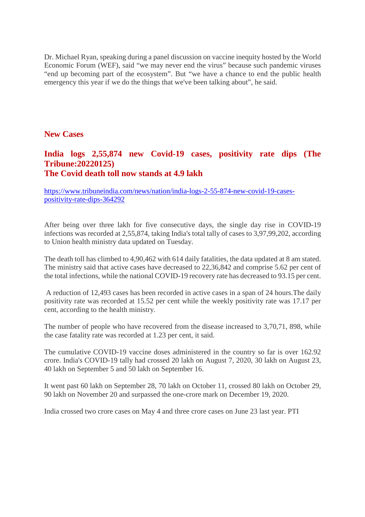Dr. Michael Ryan, speaking during a panel discussion on vaccine inequity hosted by the World Economic Forum (WEF), said "we may never end the virus" because such pandemic viruses "end up becoming part of the ecosystem". But "we have a chance to end the public health emergency this year if we do the things that we've been talking about", he said.

#### **New Cases**

#### **India logs 2,55,874 new Covid-19 cases, positivity rate dips (The Tribune:20220125) The Covid death toll now stands at 4.9 lakh**

https://www.tribuneindia.com/news/nation/india-logs-2-55-874-new-covid-19-casespositivity-rate-dips-364292

After being over three lakh for five consecutive days, the single day rise in COVID-19 infections was recorded at 2,55,874, taking India's total tally of cases to 3,97,99,202, according to Union health ministry data updated on Tuesday.

The death toll has climbed to 4,90,462 with 614 daily fatalities, the data updated at 8 am stated. The ministry said that active cases have decreased to 22,36,842 and comprise 5.62 per cent of the total infections, while the national COVID-19 recovery rate has decreased to 93.15 per cent.

A reduction of 12,493 cases has been recorded in active cases in a span of 24 hours.The daily positivity rate was recorded at 15.52 per cent while the weekly positivity rate was 17.17 per cent, according to the health ministry.

The number of people who have recovered from the disease increased to 3,70,71, 898, while the case fatality rate was recorded at 1.23 per cent, it said.

The cumulative COVID-19 vaccine doses administered in the country so far is over 162.92 crore. India's COVID-19 tally had crossed 20 lakh on August 7, 2020, 30 lakh on August 23, 40 lakh on September 5 and 50 lakh on September 16.

It went past 60 lakh on September 28, 70 lakh on October 11, crossed 80 lakh on October 29, 90 lakh on November 20 and surpassed the one-crore mark on December 19, 2020.

India crossed two crore cases on May 4 and three crore cases on June 23 last year. PTI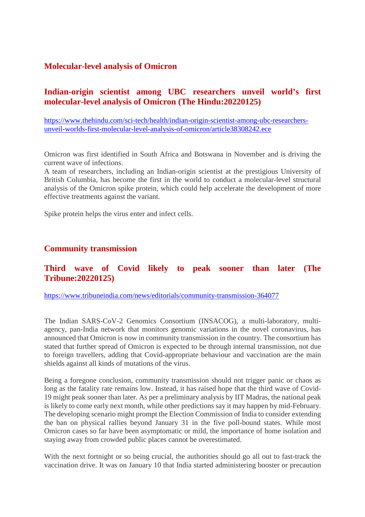#### **Molecular-level analysis of Omicron**

#### **Indian-origin scientist among UBC researchers unveil world's first molecular-level analysis of Omicron (The Hindu:20220125)**

https://www.thehindu.com/sci-tech/health/indian-origin-scientist-among-ubc-researchersunveil-worlds-first-molecular-level-analysis-of-omicron/article38308242.ece

Omicron was first identified in South Africa and Botswana in November and is driving the current wave of infections.

A team of researchers, including an Indian-origin scientist at the prestigious University of British Columbia, has become the first in the world to conduct a molecular-level structural analysis of the Omicron spike protein, which could help accelerate the development of more effective treatments against the variant.

Spike protein helps the virus enter and infect cells.

#### **Community transmission**

#### **Third wave of Covid likely to peak sooner than later (The Tribune:20220125)**

https://www.tribuneindia.com/news/editorials/community-transmission-364077

The Indian SARS-CoV-2 Genomics Consortium (INSACOG), a multi-laboratory, multiagency, pan-India network that monitors genomic variations in the novel coronavirus, has announced that Omicron is now in community transmission in the country. The consortium has stated that further spread of Omicron is expected to be through internal transmission, not due to foreign travellers, adding that Covid-appropriate behaviour and vaccination are the main shields against all kinds of mutations of the virus.

Being a foregone conclusion, community transmission should not trigger panic or chaos as long as the fatality rate remains low. Instead, it has raised hope that the third wave of Covid-19 might peak sooner than later. As per a preliminary analysis by IIT Madras, the national peak is likely to come early next month, while other predictions say it may happen by mid-February. The developing scenario might prompt the Election Commission of India to consider extending the ban on physical rallies beyond January 31 in the five poll-bound states. While most Omicron cases so far have been asymptomatic or mild, the importance of home isolation and staying away from crowded public places cannot be overestimated.

With the next fortnight or so being crucial, the authorities should go all out to fast-track the vaccination drive. It was on January 10 that India started administering booster or precaution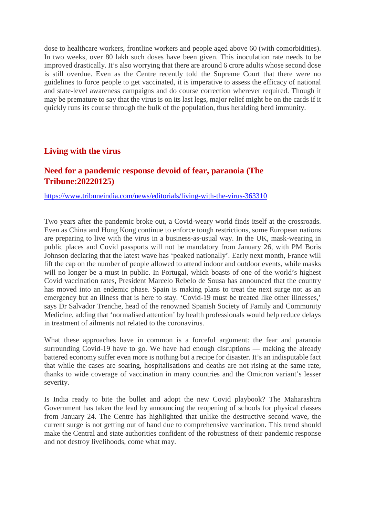dose to healthcare workers, frontline workers and people aged above 60 (with comorbidities). In two weeks, over 80 lakh such doses have been given. This inoculation rate needs to be improved drastically. It's also worrying that there are around 6 crore adults whose second dose is still overdue. Even as the Centre recently told the Supreme Court that there were no guidelines to force people to get vaccinated, it is imperative to assess the efficacy of national and state-level awareness campaigns and do course correction wherever required. Though it may be premature to say that the virus is on its last legs, major relief might be on the cards if it quickly runs its course through the bulk of the population, thus heralding herd immunity.

#### **Living with the virus**

#### **Need for a pandemic response devoid of fear, paranoia (The Tribune:20220125)**

https://www.tribuneindia.com/news/editorials/living-with-the-virus-363310

Two years after the pandemic broke out, a Covid-weary world finds itself at the crossroads. Even as China and Hong Kong continue to enforce tough restrictions, some European nations are preparing to live with the virus in a business-as-usual way. In the UK, mask-wearing in public places and Covid passports will not be mandatory from January 26, with PM Boris Johnson declaring that the latest wave has 'peaked nationally'. Early next month, France will lift the cap on the number of people allowed to attend indoor and outdoor events, while masks will no longer be a must in public. In Portugal, which boasts of one of the world's highest Covid vaccination rates, President Marcelo Rebelo de Sousa has announced that the country has moved into an endemic phase. Spain is making plans to treat the next surge not as an emergency but an illness that is here to stay. 'Covid-19 must be treated like other illnesses,' says Dr Salvador Trenche, head of the renowned Spanish Society of Family and Community Medicine, adding that 'normalised attention' by health professionals would help reduce delays in treatment of ailments not related to the coronavirus.

What these approaches have in common is a forceful argument: the fear and paranoia surrounding Covid-19 have to go. We have had enough disruptions — making the already battered economy suffer even more is nothing but a recipe for disaster. It's an indisputable fact that while the cases are soaring, hospitalisations and deaths are not rising at the same rate, thanks to wide coverage of vaccination in many countries and the Omicron variant's lesser severity.

Is India ready to bite the bullet and adopt the new Covid playbook? The Maharashtra Government has taken the lead by announcing the reopening of schools for physical classes from January 24. The Centre has highlighted that unlike the destructive second wave, the current surge is not getting out of hand due to comprehensive vaccination. This trend should make the Central and state authorities confident of the robustness of their pandemic response and not destroy livelihoods, come what may.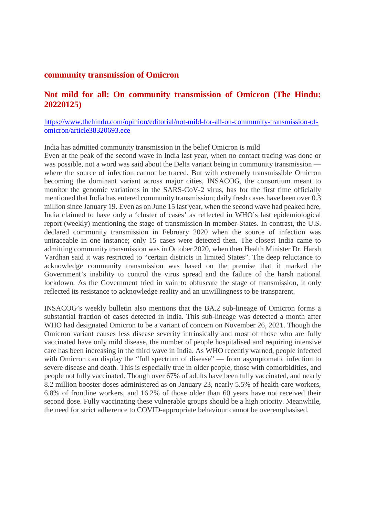#### **community transmission of Omicron**

#### **Not mild for all: On community transmission of Omicron (The Hindu: 20220125)**

#### https://www.thehindu.com/opinion/editorial/not-mild-for-all-on-community-transmission-ofomicron/article38320693.ece

India has admitted community transmission in the belief Omicron is mild

Even at the peak of the second wave in India last year, when no contact tracing was done or was possible, not a word was said about the Delta variant being in community transmission where the source of infection cannot be traced. But with extremely transmissible Omicron becoming the dominant variant across major cities, INSACOG, the consortium meant to monitor the genomic variations in the SARS-CoV-2 virus, has for the first time officially mentioned that India has entered community transmission; daily fresh cases have been over 0.3 million since January 19. Even as on June 15 last year, when the second wave had peaked here, India claimed to have only a 'cluster of cases' as reflected in WHO's last epidemiological report (weekly) mentioning the stage of transmission in member-States. In contrast, the U.S. declared community transmission in February 2020 when the source of infection was untraceable in one instance; only 15 cases were detected then. The closest India came to admitting community transmission was in October 2020, when then Health Minister Dr. Harsh Vardhan said it was restricted to "certain districts in limited States". The deep reluctance to acknowledge community transmission was based on the premise that it marked the Government's inability to control the virus spread and the failure of the harsh national lockdown. As the Government tried in vain to obfuscate the stage of transmission, it only reflected its resistance to acknowledge reality and an unwillingness to be transparent.

INSACOG's weekly bulletin also mentions that the BA.2 sub-lineage of Omicron forms a substantial fraction of cases detected in India. This sub-lineage was detected a month after WHO had designated Omicron to be a variant of concern on November 26, 2021. Though the Omicron variant causes less disease severity intrinsically and most of those who are fully vaccinated have only mild disease, the number of people hospitalised and requiring intensive care has been increasing in the third wave in India. As WHO recently warned, people infected with Omicron can display the "full spectrum of disease" — from asymptomatic infection to severe disease and death. This is especially true in older people, those with comorbidities, and people not fully vaccinated. Though over 67% of adults have been fully vaccinated, and nearly 8.2 million booster doses administered as on January 23, nearly 5.5% of health-care workers, 6.8% of frontline workers, and 16.2% of those older than 60 years have not received their second dose. Fully vaccinating these vulnerable groups should be a high priority. Meanwhile, the need for strict adherence to COVID-appropriate behaviour cannot be overemphasised.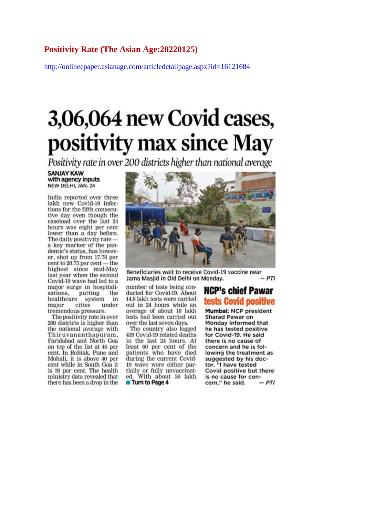#### **Positivity Rate (The Asian Age:20220125)**

http://onlineepaper.asianage.com/articledetailpage.aspx?id=16121684

## 3,06,064 new Covid cases, positivity max since May

Positivity rate in over 200 districts higher than national average

#### **SANJAY KAW** with agency inputs NEW DELHI, JAN. 24

India reported over three lakh new Covid-19 infections for the fifth consecutive day even though the caseload over the last 24 hours was eight per cent lower than a day before. The daily positivity ratea key marker of the pandemic's status, has however, shot up from 17.78 per cent to 20.75 per cent - the highest since mid-May last year when the second Covid-19 wave had led to a major surge in hos<br>sations, putting<br>healthcare syster<br>major cities major surge in hospitalithe system in cities under major tremendous pressure.

The positivity rate in over 200 districts is higher than the national average with Thiruvananthapuram. Faridabad and North Goa on top of the list at 46 per cent. In Rohtak, Pune and Mohali, it is above 40 per cent while in South Goa it is 39 per cent. The health ministry data revealed that there has been a drop in the



Beneficiaries wait to receive Covid-19 vaccine near  $-PTI$ Jama Masjid in Old Delhi on Monday.

number of tests being conducted for Covid-19, About 14.8 lakh tests were carried out in 24 hours while an average of about 18 lakh tests had been carried out over the last seven days.

The country also logged 439 Covid-19 related deaths in the last 24 hours. At least 60 per cent of the patients who have died during the current Covid-19 wave were either partially or fully unvaccinated. With about 50 lakh **Turn to Page 4** 

#### **NCP's chief Pawar** tests Covid positive

Mumbai: NCP president Sharad Pawar on Monday informed that he has tested positive for Covid-19. He said there is no cause of concern and he is following the treatment as suggested by his doctor. "I have tested Covid positive but there is no cause for concern," he said.  $-PTI$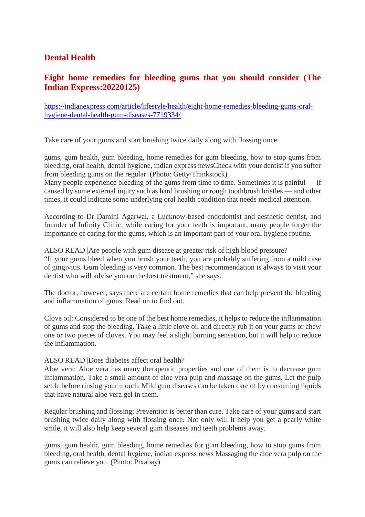#### **Dental Health**

#### **Eight home remedies for bleeding gums that you should consider (The Indian Express:20220125)**

https://indianexpress.com/article/lifestyle/health/eight-home-remedies-bleeding-gums-oralhygiene-dental-health-gum-diseases-7719334/

Take care of your gums and start brushing twice daily along with flossing once.

gums, gum health, gum bleeding, home remedies for gum bleeding, how to stop gums from bleeding, oral health, dental hygiene, indian express newsCheck with your dentist if you suffer from bleeding gums on the regular. (Photo: Getty/Thinkstock)

Many people experience bleeding of the gums from time to time. Sometimes it is painful — if caused by some external injury such as hard brushing or rough toothbrush bristles — and other times, it could indicate some underlying oral health condition that needs medical attention.

According to Dr Damini Agarwal, a Lucknow-based endodontist and aesthetic dentist, and founder of Infinity Clinic, while caring for your teeth is important, many people forget the importance of caring for the gums, which is an important part of your oral hygiene routine.

ALSO READ |Are people with gum disease at greater risk of high blood pressure? "If your gums bleed when you brush your teeth, you are probably suffering from a mild case of gingivitis. Gum bleeding is very common. The best recommendation is always to visit your dentist who will advise you on the best treatment," she says.

The doctor, however, says there are certain home remedies that can help prevent the bleeding and inflammation of gums. Read on to find out.

Clove oil: Considered to be one of the best home remedies, it helps to reduce the inflammation of gums and stop the bleeding. Take a little clove oil and directly rub it on your gums or chew one or two pieces of cloves. You may feel a slight burning sensation, but it will help to reduce the inflammation.

#### ALSO READ |Does diabetes affect oral health?

Aloe vera: Aloe vera has many therapeutic properties and one of them is to decrease gum inflammation. Take a small amount of aloe vera pulp and massage on the gums. Let the pulp settle before rinsing your mouth. Mild gum diseases can be taken care of by consuming liquids that have natural aloe vera gel in them.

Regular brushing and flossing: Prevention is better than cure. Take care of your gums and start brushing twice daily along with flossing once. Not only will it help you get a pearly white smile, it will also help keep several gum diseases and teeth problems away.

gums, gum health, gum bleeding, home remedies for gum bleeding, how to stop gums from bleeding, oral health, dental hygiene, indian express news Massaging the aloe vera pulp on the gums can relieve you. (Photo: Pixabay)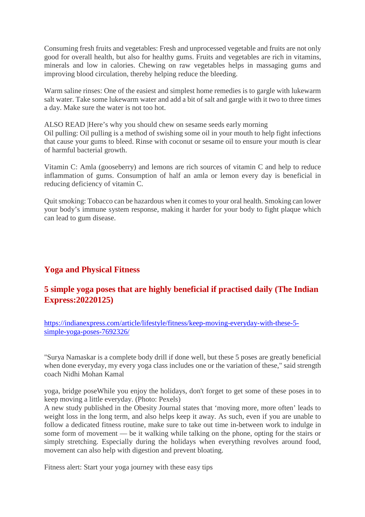Consuming fresh fruits and vegetables: Fresh and unprocessed vegetable and fruits are not only good for overall health, but also for healthy gums. Fruits and vegetables are rich in vitamins, minerals and low in calories. Chewing on raw vegetables helps in massaging gums and improving blood circulation, thereby helping reduce the bleeding.

Warm saline rinses: One of the easiest and simplest home remedies is to gargle with lukewarm salt water. Take some lukewarm water and add a bit of salt and gargle with it two to three times a day. Make sure the water is not too hot.

ALSO READ |Here's why you should chew on sesame seeds early morning Oil pulling: Oil pulling is a method of swishing some oil in your mouth to help fight infections that cause your gums to bleed. Rinse with coconut or sesame oil to ensure your mouth is clear of harmful bacterial growth.

Vitamin C: Amla (gooseberry) and lemons are rich sources of vitamin C and help to reduce inflammation of gums. Consumption of half an amla or lemon every day is beneficial in reducing deficiency of vitamin C.

Quit smoking: Tobacco can be hazardous when it comes to your oral health. Smoking can lower your body's immune system response, making it harder for your body to fight plaque which can lead to gum disease.

#### **Yoga and Physical Fitness**

#### **5 simple yoga poses that are highly beneficial if practised daily (The Indian Express:20220125)**

https://indianexpress.com/article/lifestyle/fitness/keep-moving-everyday-with-these-5 simple-yoga-poses-7692326/

"Surya Namaskar is a complete body drill if done well, but these 5 poses are greatly beneficial when done everyday, my every yoga class includes one or the variation of these," said strength coach Nidhi Mohan Kamal

yoga, bridge poseWhile you enjoy the holidays, don't forget to get some of these poses in to keep moving a little everyday. (Photo: Pexels)

A new study published in the Obesity Journal states that 'moving more, more often' leads to weight loss in the long term, and also helps keep it away. As such, even if you are unable to follow a dedicated fitness routine, make sure to take out time in-between work to indulge in some form of movement — be it walking while talking on the phone, opting for the stairs or simply stretching. Especially during the holidays when everything revolves around food, movement can also help with digestion and prevent bloating.

Fitness alert: Start your yoga journey with these easy tips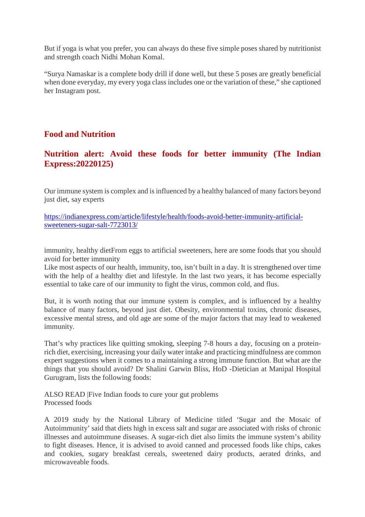But if yoga is what you prefer, you can always do these five simple poses shared by nutritionist and strength coach Nidhi Mohan Komal.

"Surya Namaskar is a complete body drill if done well, but these 5 poses are greatly beneficial when done everyday, my every yoga class includes one or the variation of these," she captioned her Instagram post.

#### **Food and Nutrition**

#### **Nutrition alert: Avoid these foods for better immunity (The Indian Express:20220125)**

Our immune system is complex and is influenced by a healthy balanced of many factors beyond just diet, say experts

https://indianexpress.com/article/lifestyle/health/foods-avoid-better-immunity-artificialsweeteners-sugar-salt-7723013/

immunity, healthy dietFrom eggs to artificial sweeteners, here are some foods that you should avoid for better immunity

Like most aspects of our health, immunity, too, isn't built in a day. It is strengthened over time with the help of a healthy diet and lifestyle. In the last two years, it has become especially essential to take care of our immunity to fight the virus, common cold, and flus.

But, it is worth noting that our immune system is complex, and is influenced by a healthy balance of many factors, beyond just diet. Obesity, environmental toxins, chronic diseases, excessive mental stress, and old age are some of the major factors that may lead to weakened immunity.

That's why practices like quitting smoking, sleeping 7-8 hours a day, focusing on a proteinrich diet, exercising, increasing your daily water intake and practicing mindfulness are common expert suggestions when it comes to a maintaining a strong immune function. But what are the things that you should avoid? Dr Shalini Garwin Bliss, HoD -Dietician at Manipal Hospital Gurugram, lists the following foods:

ALSO READ |Five Indian foods to cure your gut problems Processed foods

A 2019 study by the National Library of Medicine titled 'Sugar and the Mosaic of Autoimmunity' said that diets high in excess salt and sugar are associated with risks of chronic illnesses and autoimmune diseases. A sugar-rich diet also limits the immune system's ability to fight diseases. Hence, it is advised to avoid canned and processed foods like chips, cakes and cookies, sugary breakfast cereals, sweetened dairy products, aerated drinks, and microwaveable foods.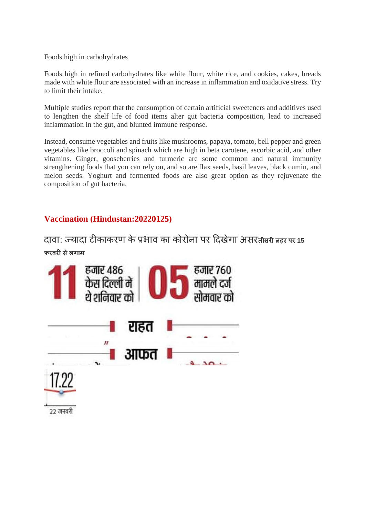Foods high in carbohydrates

Foods high in refined carbohydrates like white flour, white rice, and cookies, cakes, breads made with white flour are associated with an increase in inflammation and oxidative stress. Try to limit their intake.

Multiple studies report that the consumption of certain artificial sweeteners and additives used to lengthen the shelf life of food items alter gut bacteria composition, lead to increased inflammation in the gut, and blunted immune response.

Instead, consume vegetables and fruits like mushrooms, papaya, tomato, bell pepper and green vegetables like broccoli and spinach which are high in beta carotene, ascorbic acid, and other vitamins. Ginger, gooseberries and turmeric are some common and natural immunity strengthening foods that you can rely on, and so are flax seeds, basil leaves, black cumin, and melon seeds. Yoghurt and fermented foods are also great option as they rejuvenate the composition of gut bacteria.

#### **Vaccination (Hindustan:20220125)**

दावा: यादा टकाकरण के भाव का कोरोना पर दखेगा असर**तीसरलहर पर <sup>15</sup> फरवरसेलगाम**

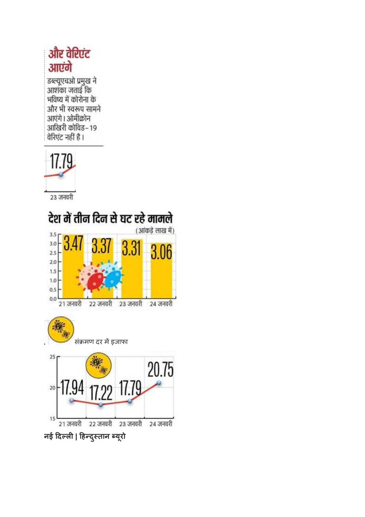## और वेरिएंट आएंगे

डब्ल्यूएचओ प्रमुख ने<br>आशंका जताई कि भविष्य में कोरोना के और भी स्वरूप सामने आएंगे। ओमीक्रोन आखिरी कोविड–19 वेरिएंट नहीं है।



23 जनवरी



**नई दल| हदुतान यूरो**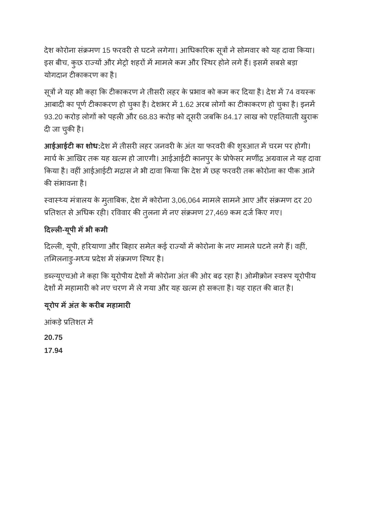देश कोरोना संक्रमण 15 फरवरी से घटने लगेगा। आधिकारिक सूत्रों ने सोमवार को यह दावा किया। इस बीच, कुछ राज्यों और मेट्रो शहरों में मामले कम और स्थिर होने लगे हैं। इसमें सबसे बड़ा योगदान टीकाकरण का है।

सूत्रों ने यह भी कहा कि टीकाकरण ने तीसरी लहर के प्रभाव को कम कर दिया है। देश में 74 वयस्क आबादी का पूर्ण टीकाकरण हो चुका है। देशभर में 1.62 अरब लोगों का टीकाकरण हो चुका है। इनमें 93.20 करोड़ लोगों को पहली और 68.83 करोड़ को दूसरी जबकि 84.17 लाख को एहतियाती खुराक दी जा चुकी है।

**आईआईटी का शोध:**देश में तीसरी लहर जनवरी के अंत या फरवरी की शुरुआत में चरम पर होगी। मार्च के आखिर तक यह खत्म हो जाएगी। आईआईटी कानपुर के प्रोफेसर मणींद्र अग्रवाल ने यह दावा किया है। वहीं आईआईटी मद्रास ने भी दावा किया कि देश में छह फरवरी तक कोरोना का पीक आने की संभावना है।

स्वास्थ्य मंत्रालय के मुताबिक, देश में कोरोना 3,06,064 मामले सामने आए और संक्रमण दर 20 प्रतिशत से अधिक रही। रविवार की तुलना में नए संक्रमण 27,469 कम दर्ज किए गए।

#### **दल-यूपी मभी कमी**

दिल्ली, यूपी, हरियाणा और बिहार समेत कई राज्यों में कोरोना के नए मामले घटने लगे हैं। वहीं, तमिलनाडु-मध्य प्रदेश में संक्रमण स्थिर है।

डब्ल्यूएचओ ने कहा कि यूरोपीय देशों में कोरोना अंत की ओर बढ़ रहा है। ओमीक्रोन स्वरूप यूरोपीय देशों में महामारी को नए चरण में ले गया और यह खत्म हो सकता है। यह राहत की बात है।

#### **यूरोप मअतं के करब महामार**

आंकड़े प्रतिशत में

**20.75**

**17.94**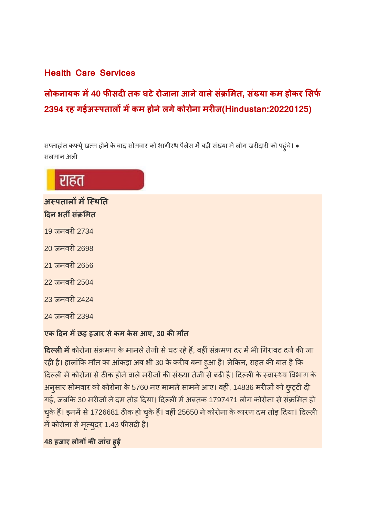#### **Health Care Services**

**लोकनायक म40 फसदतक घटेरोजाना आनेवालेसं मत, सं या कम होकर सफ 2394 रह गईअपतालमकम होनेलगेकोरोना मरज(Hindustan:20220125)**

सप्ताहांत कर्फ्यू खत्म होने के बाद सोमवार को भागीरथ पैलेस में बड़ी संख्या में लोग खरीदारी को पहुंचे। • सलमान अल

## राहत

अस्पतालों में स्थिति **दन भतसं मत**

- 19 जनवरी 2734
- 20 जनवरी 2698
- 21 जनवरी 2656
- 22 जनवरी 2504
- 23 जनवरी 2424

24 जनवरी 2394

#### **एक दन मछह हजार सेकम केस आए, 30 कमौत**

**दिल्ली में** कोरोना संक्रमण के मामले तेजी से घट रहे हैं, वहीं संक्रमण दर में भी गिरावट दर्ज की जा रही है। हालांकि मौत का आंकड़ा अब भी 30 के करीब बना हुआ है। लेकिन, राहत की बात है कि दिल्ली में कोरोना से ठीक होने वाले मरीजों की संख्या तेजी से बढ़ी है। दिल्ली के स्वास्थ्य विभाग के अनुसार सोमवार को कोरोना के 5760 नए मामले सामने आए। वहीं, 14836 मरीजों को छुट्टी दी गई, जबकि 30 मरीजों ने दम तोड़ दिया। दिल्ली में अबतक 1797471 लोग कोरोना से संक्रमित हो चुके हैं। इनमें से 1726681 ठीक हो चुके हैं। वहीं 25650 ने कोरोना के कारण दम तोड़ दिया। दिल्ली में कोरोना से मृत्युदर 1.43 फीसदी है।

**48 हजार लोगकजांच हुई**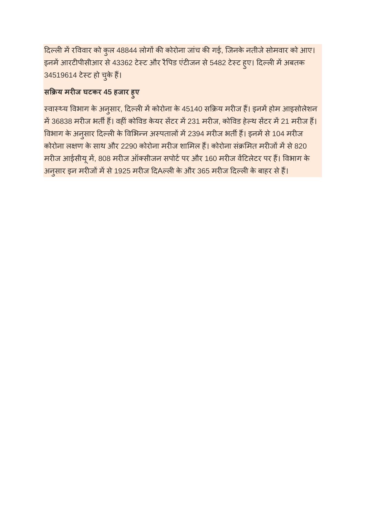दिल्ली में रविवार को कुल 48844 लोगों की कोरोना जांच की गई, जिनके नतीजे सोमवार को आए। इनमें आरटीपीसीआर से 43362 टेस्ट और रैपिड एंटीजन से 5482 टेस्ट हुए। दिल्ली में अबतक 34519614 टेस्ट हो चुके हैं।

#### **स य मरज घटकर 45 हजार हुए**

स्वास्थ्य विभाग के अनुसार, दिल्ली में कोरोना के 45140 सक्रिय मरीज हैं। इनमें होम आइसोलेशन में 36838 मरीज भर्ती हैं। वहीं कोविड केयर सेंटर में 231 मरीज, कोविड हेल्थ सेंटर में 21 मरीज हैं। विभाग के अनुसार दिल्ली के विभिन्न अस्पतालों में 2394 मरीज भर्ती हैं। इनमें से 104 मरीज कोरोना लक्षण के साथ और 2290 कोरोना मरीज शामिल हैं। कोरोना संक्रमित मरीजों में से 820 मरीज आईसीयू में, 808 मरीज ऑक्सीजन सपोर्ट पर और 160 मरीज वेंटिलेटर पर हैं। विभाग के अनुसार इन मरीजों में से 1925 मरीज दिAल्ली के और 365 मरीज दिल्ली के बाहर से हैं।